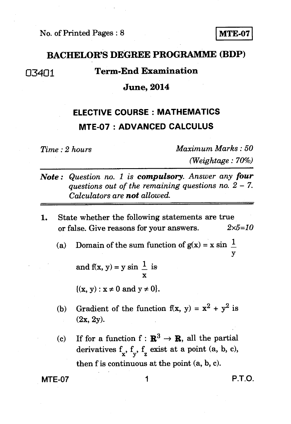## **BACHELOR'S DEGREE PROGRAMME (BDP)**

# 03401 **Term-End Examination**

### **June, 2014**

# **ELECTIVE COURSE : MATHEMATICS MTE-07 : ADVANCED CALCULUS**

*Time : 2 hours Maximum Marks : 50 (Weightage : 70%)* 

- *Note : Question no. 1 is compulsory. Answer any four questions out of the remaining questions no. 2 - 7. Calculators are not allowed.*
- **1.** State whether the following statements are true or false. Give reasons for your answers. *2x5=10* 
	- (a) Domain of the sum function of  $g(x) = x \sin \frac{1}{x}$ y

and f(x, y) = y sin  $\frac{1}{x}$  is

 $\{(x, y) : x \neq 0 \text{ and } y \neq 0\}.$ 

- (b) Gradient of the function  $f(x, y) = x^2 + y^2$  is (2x, 2y).
- (c) If for a function  $f : \mathbb{R}^3 \to \mathbb{R}$ , all the partial derivatives  $f_x$ ,  $f_y$ ,  $f_z$  exist at a point (a, b, c), then f is continuous at the point (a, b, c).

**MTE-07** 1 **P.T.O.**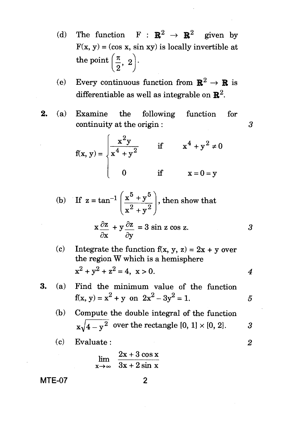- (d) The function  $F : \mathbb{R}^2 \to \mathbb{R}^2$  given by  $F(x, y) = (\cos x, \sin xy)$  is locally invertible at the point  $\left(\frac{\pi}{2}, 2\right)$  $2^{\degree}$
- (e) Every continuous function from  $\mathbb{R}^2 \to \mathbb{R}$  is differentiable as well as integrable on  $\mathbb{R}^2$ .
- 2. (a) Examine the following function for continuity at the origin :

$$
f(x, y) = \begin{cases} \frac{x^2y}{x^4 + y^2} & \text{if } x^4 + y^2 \neq 0 \\ 0 & \text{if } x = 0 = y \end{cases}
$$

 $\overline{3}$ 

(b) If 
$$
z = \tan^{-1} \left( \frac{x^5 + y^5}{x^2 + y^2} \right)
$$
, then show that  

$$
x \frac{\partial z}{\partial x} + y \frac{\partial z}{\partial y} = 3 \sin z \cos z.
$$

 $\partial x$   $\partial y$ 

(c) Integrate the function 
$$
f(x, y, z) = 2x + y
$$
 over the region W which is a hemisphere  $x^2 + y^2 + z^2 = 4$ ,  $x > 0$ .

**3.** (a) Find the minimum value of the function 
$$
f(x, y) = x^2 + y
$$
 on  $2x^2 - 3y^2 = 1$ .  $5$ 

(b) Compute the double integral of the function 
$$
x\sqrt{4-y^2}
$$
 over the rectangle [0, 1] × [0, 2].

$$
(c) \quad Evaluate: \qquad \qquad 2
$$

$$
\lim_{x \to \infty} \frac{2x + 3\cos x}{3x + 2\sin x}
$$

**MTE-07** 

$$
\mathbf{2}
$$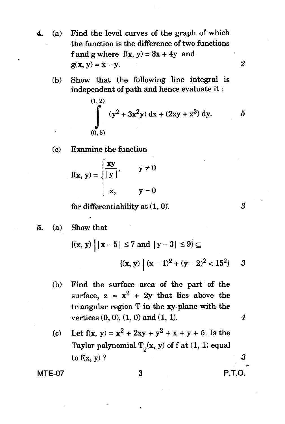- 4. (a) Find the level curves of the graph of which the function is the difference of two functions f and g where  $f(x, y) = 3x + 4y$  and  $g(x, y) = x - y.$  2
	- (b) Show that the following line integral is independent of path and hence evaluate it :

(1, 2)  
\n
$$
\int_{(0,5)}^{(1,2)} (y^2 + 3x^2y) dx + (2xy + x^3) dy.
$$
 5

(c) Examine the function

$$
f(x, y) = \begin{cases} \frac{xy}{|y|}, & y \neq 0 \\ x, & y = 0 \end{cases}
$$

for differentiability at  $(1, 0)$ .  $3$ 

5. (a) Show that  
\n
$$
\{(x, y) | |x - 5| \le 7 \text{ and } |y - 3| \le 9 \} \subseteq
$$
\n
$$
\{(x, y) | (x - 1)^2 + (y - 2)^2 < 15^2 \}
$$
 3

(b) Find the surface area of the part of the surface, 
$$
z = x^2 + 2y
$$
 that lies above the triangular region T in the xy-plane with the vertices  $(0, 0), (1, 0)$  and  $(1, 1)$ .

(c) Let 
$$
f(x, y) = x^2 + 2xy + y^2 + x + y + 5
$$
. Is the Taylor polynomial  $T_2(x, y)$  of  $f(x, 1)$  equal to  $f(x, y)$ ?

MTE-07 3 P.T.O.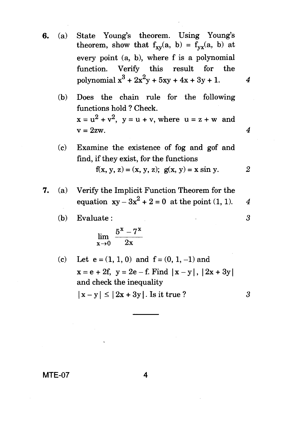- **6.** (a) State Young's theorem. Using Young's theorem, show that  $f_{xy}(a, b) = f_{yx}(a, b)$  at every point (a, b), where f is a polynomial function. Verify this result for the polynomial  $x^3 + 2x^2y + 5xy + 4x + 3y + 1$ . 4
	- (b) Does the chain rule for the following functions hold ? Check.  $x = u<sup>2</sup> + v<sup>2</sup>$ ,  $y = u + v$ , where  $u = z + w$  and  $v = 2zw$  4
	- (c) Examine the existence of fog and gof and find, if they exist, for the functions f(x, y, z) = (x, y, z);  $g(x, y) = x \sin y$ . 2
- *7.* (a) Verify the Implicit Function Theorem for the equation  $xy - 3x^2 + 2 = 0$  at the point (1, 1). 4
	- (b) Evaluate :  $3$

$$
\lim_{x\to 0}\frac{5^x-7^x}{2x}
$$

(c) Let  $e = (1, 1, 0)$  and  $f = (0, 1, -1)$  and  $x = e + 2f$ ,  $y = 2e - f$ . Find  $|x - y|$ ,  $|2x + 3y|$ and check the inequality  $|x - y| \le |2x + 3y|$ . Is it true ? 3

MTE-07 4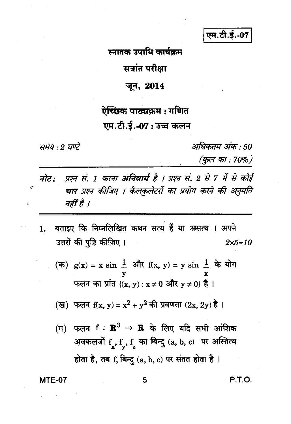एम.टी.ई.-07

स्नातक उपाधि कार्यक्रम

सत्रांत परीक्षा

## जून, 2014

## ऐच्छिक पाठ्यक्रम : गणित

## एम.टी.ई.-07: उच्च कलन

समय : 2 घण्टे

 $\mathcal{C}$ 

अधिकतम अंक : 50

(कुल का : 70%)

- प्रश्न सं. 1 करना **अनिवार्य** है । प्रश्न सं. 2 से 7 में से कोई नोट: चार प्रश्न कीजिए । कैलकुलेटरों का प्रयोग करने की अनुमति नहीं है ।
- बताइए कि निम्नलिखित कथन सत्य हैं या असत्य । अपने  $1.$ उत्तरों की पृष्टि कीजिए ।  $2 \times 5 = 10$ 
	- (क)  $g(x) = x \sin \frac{1}{x}$  और  $f(x, y) = y \sin \frac{1}{x}$  के योग फलन का प्रांत  $\{(x, y) : x \neq 0 \text{ and } y \neq 0\}$  है।

(ख) फलन f(x, y) = 
$$
x^2 + y^2
$$
 की प्रवणता (2x, 2y) है ।

(ग) फलन  $f: \mathbb{R}^3 \to \mathbb{R}$  के लिए यदि सभी आंशिक अवकलजों  $f_x, f_y, f_z$  का बिन्दु (a, b, c) पर अस्तित्व होता है, तब f, बिन्दु (a, b, c) पर संतत होता है ।

**MTE-07** 

P.T.O.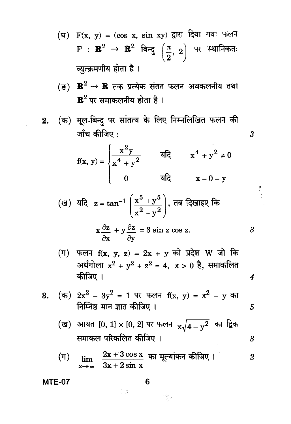(घ) 
$$
F(x, y) = (\cos x, \sin xy)
$$
 द्वारा दिया गया फलन  $F : \mathbb{R}^2 \to \mathbb{R}^2$  बिन्दु  $\left(\frac{\pi}{2}, 2\right)$  पर स्थानिकतः व्युत्क्रमणीय होता है ।

(ङ)  $\mathbb{R}^2 \to \mathbb{R}$  तक प्रत्येक संतत फलन अवकलनीय तथा  ${\bf R}^2$ पर समाकलनीय होता है।

(क) मूल-बिन्दु पर सांतत्य के लिए निम्नलिखित फलन की  $2.$ जाँच कीजिए :

$$
f(x, y) = \begin{cases} \frac{x^2y}{x^4 + y^2} & \text{if } x^4 + y^2 \neq 0 \\ 0 & \text{if } x = 0 = y \end{cases}
$$

 $\boldsymbol{\beta}$ 

 $\boldsymbol{\beta}$ 

 $\boldsymbol{4}$ 

 $\overline{5}$ 

 $\overline{\mathbf{3}}$ 

(ख) यदि 
$$
z = \tan^{-1} \left( \frac{x^5 + y^5}{x^2 + y^2} \right)
$$
,  $\overline{a}$  दिखाइए कि

$$
x\frac{\partial z}{\partial x} + y\frac{\partial z}{\partial y} = 3\sin z \cos z
$$

(ग) फलन  $f(x, y, z) = 2x + y$  को प्रदेश W जो कि अर्धगोला  $x^2 + y^2 + z^2 = 4$ ,  $x > 0$  है, समाकलित कीजिए ।

3. (क) 
$$
2x^2 - 3y^2 = 1
$$
 पर फलन f(x, y) =  $x^2 + y$  का   
निम्निष्ठ मान ज्ञात कीजिए ।

(ख) आयत [0, 1] × [0, 2] पर फलन 
$$
x\sqrt{4-y^2}
$$
 का द्विक समाकल परिकलित कीजिए ।

$$
\begin{array}{ll}\n\text{(T)} & \lim_{x\to\infty} \frac{2x+3\cos x}{3x+2\sin x} \text{ and } \text{Hg} \text{ and } \text{Hg} \text{ and } \text{Hg} \text{ are } 2\n\end{array}
$$

inga<br>Lukut

**MTE-07** 

6

 $\frac{1}{2}$  ,  $\frac{1}{2}$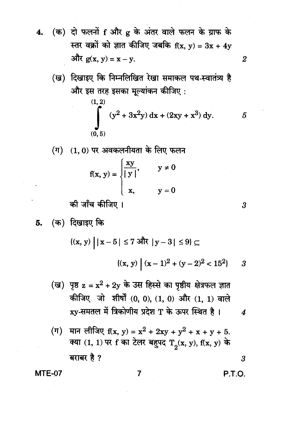- (क) दो फलनों f और g के अंतर वाले फलन के ग्राफ के  $\overline{\mathbf{4}}$ . स्तर वक्रों को ज्ञात कीजिए जबकि  $f(x, y) = 3x + 4y$ और  $g(x, y) = x - y$ .
	- (ख) दिखाइए कि निम्नलिखित रेखा समाकल पथ-स्वातंत्र्य है और इस तरह इसका मूल्यांकन कीजिए:

(1, 2)  
\n
$$
\int_{(0,5)}^{(1,2)} (y^2 + 3x^2y) dx + (2xy + x^3) dy.
$$
 5

 $(1, 0)$  पर अवकलनीयता के लिए फलन

$$
f(x, y) = \begin{cases} \frac{xy}{|y|}, & y \neq 0 \\ x, & y = 0 \end{cases}
$$

की जाँच कीजिए ।

$$
\{(x, y) \mid |x - 5| \le 7 \text{ and } |y - 3| \le 9\} \subseteq
$$

$$
\{(x, y) \mid (x - 1)^2 + (y - 2)^2 < 15^2\} \quad 3
$$

(ग) मान लीजिए f(x, y) = x<sup>2</sup> + 2xy + y<sup>2</sup> + x + y + 5.  
क्या (1, 1) पर f का टेलर बहुपद 
$$
T_2(x, y)
$$
, f(x, y) के  
बराबर है ?

7

**MTE-07** 

P.T.O.

 $\boldsymbol{3}$ 

 $\overline{2}$ 

 $\boldsymbol{3}$